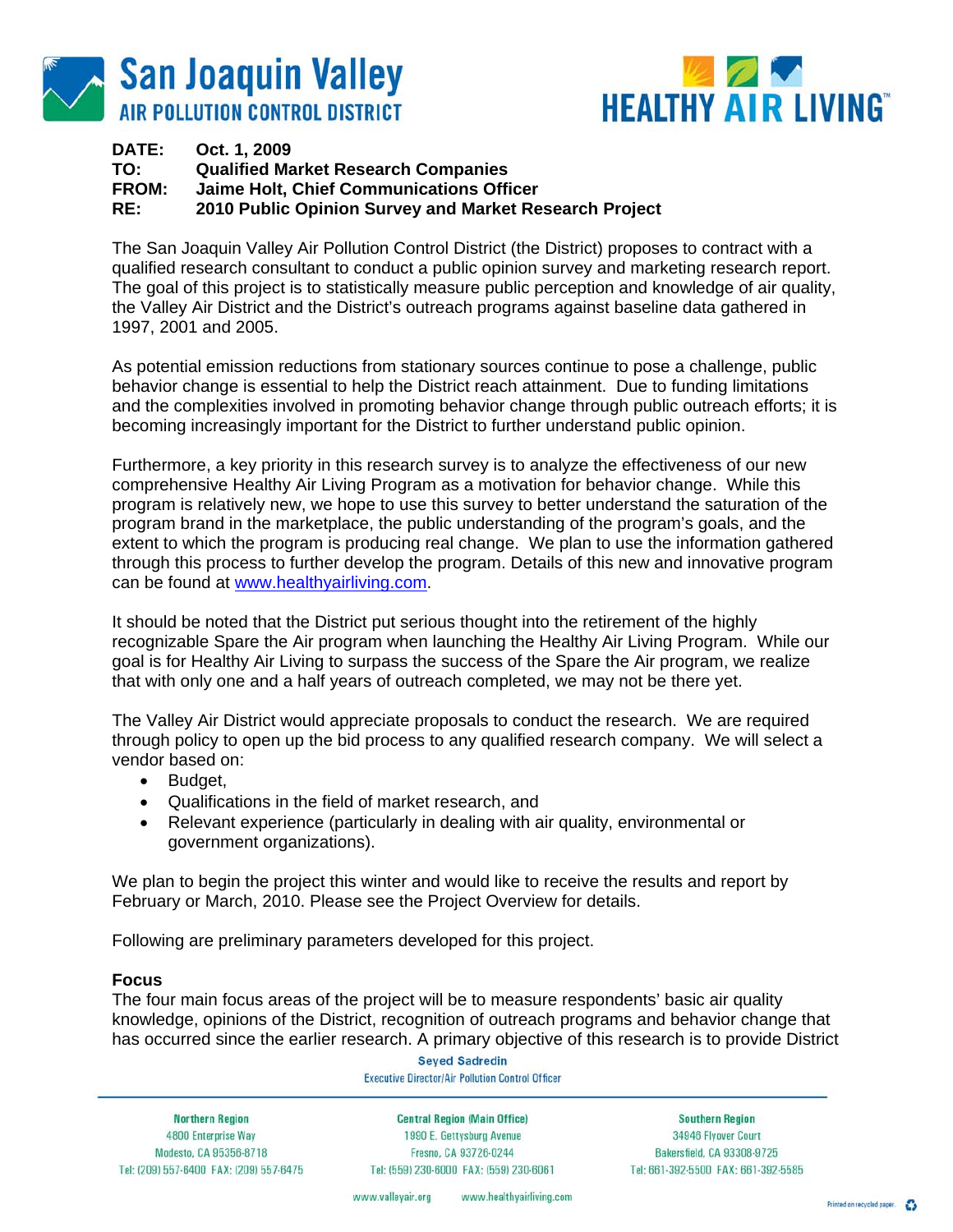



## **DATE: Oct. 1, 2009 TO: Qualified Market Research Companies Jaime Holt, Chief Communications Officer RE: 2010 Public Opinion Survey and Market Research Project**

The San Joaquin Valley Air Pollution Control District (the District) proposes to contract with a qualified research consultant to conduct a public opinion survey and marketing research report. The goal of this project is to statistically measure public perception and knowledge of air quality, the Valley Air District and the District's outreach programs against baseline data gathered in 1997, 2001 and 2005.

As potential emission reductions from stationary sources continue to pose a challenge, public behavior change is essential to help the District reach attainment. Due to funding limitations and the complexities involved in promoting behavior change through public outreach efforts; it is becoming increasingly important for the District to further understand public opinion.

Furthermore, a key priority in this research survey is to analyze the effectiveness of our new comprehensive Healthy Air Living Program as a motivation for behavior change. While this program is relatively new, we hope to use this survey to better understand the saturation of the program brand in the marketplace, the public understanding of the program's goals, and the extent to which the program is producing real change. We plan to use the information gathered through this process to further develop the program. Details of this new and innovative program can be found at www.healthyairliving.com.

It should be noted that the District put serious thought into the retirement of the highly recognizable Spare the Air program when launching the Healthy Air Living Program. While our goal is for Healthy Air Living to surpass the success of the Spare the Air program, we realize that with only one and a half years of outreach completed, we may not be there yet.

The Valley Air District would appreciate proposals to conduct the research. We are required through policy to open up the bid process to any qualified research company. We will select a vendor based on:

- Budget,
- Qualifications in the field of market research, and
- Relevant experience (particularly in dealing with air quality, environmental or government organizations).

We plan to begin the project this winter and would like to receive the results and report by February or March, 2010. Please see the Project Overview for details.

Following are preliminary parameters developed for this project.

#### **Focus**

The four main focus areas of the project will be to measure respondents' basic air quality knowledge, opinions of the District, recognition of outreach programs and behavior change that has occurred since the earlier research. A primary objective of this research is to provide District

> **Seyed Sadredin Executive Director/Air Pollution Control Officer**

**Northern Region** 4800 Enterprise Way Modesto, CA 95356-8718 Tel: (209) 557-6400 FAX: (209) 557-6475

**Central Region (Main Office)** 1990 E. Gettysburg Avenue Fresno, CA 93726-0244 Tel: (559) 230-6000 FAX: (559) 230-6061

**Southern Region** 34946 Flyover Court Bakersfield, CA 93308-9725 Tel: 661-392-5500 FAX: 661-392-5585

www.valleyair.org www.healthyairliving.com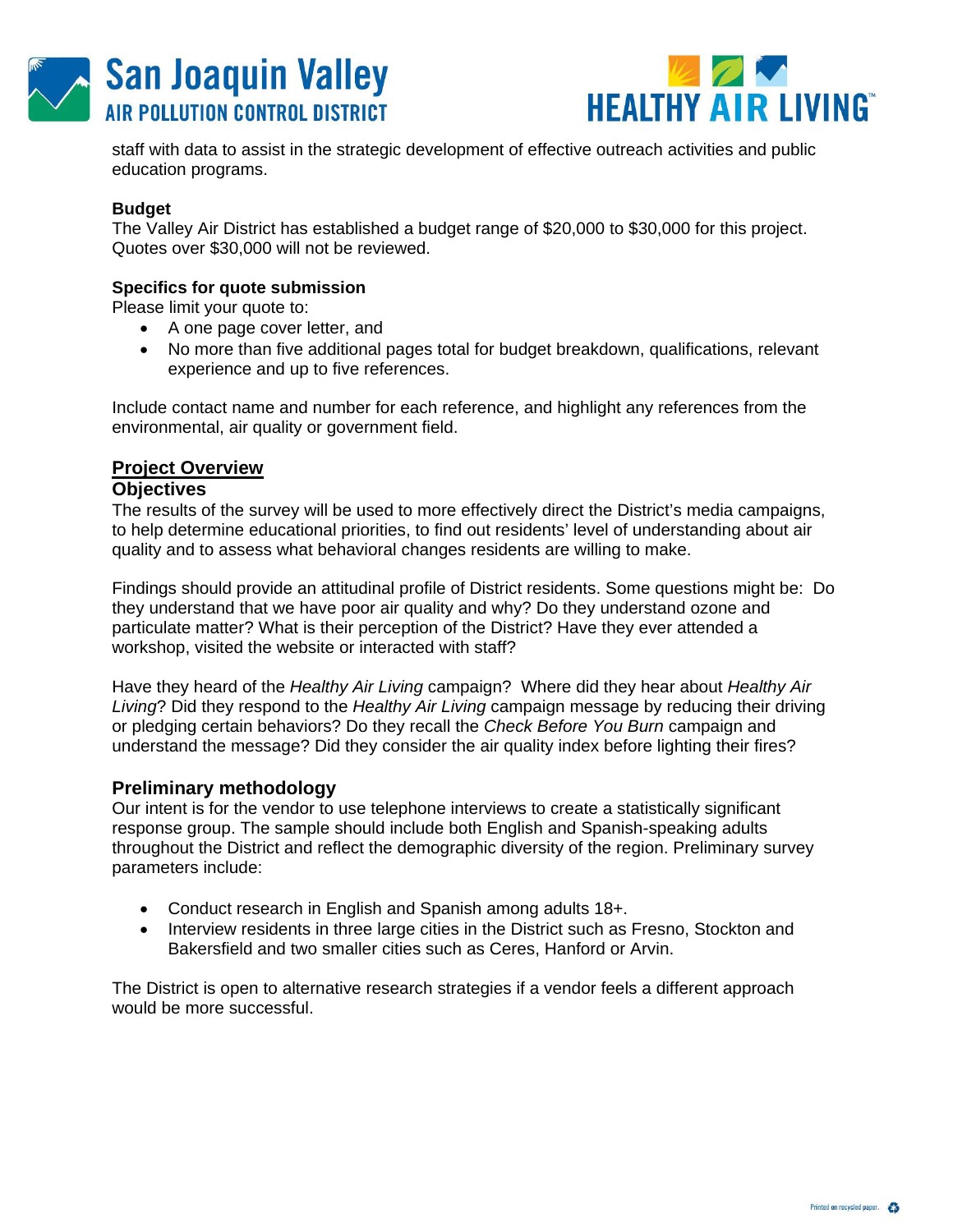



staff with data to assist in the strategic development of effective outreach activities and public education programs.

## **Budget**

The Valley Air District has established a budget range of \$20,000 to \$30,000 for this project. Quotes over \$30,000 will not be reviewed.

## **Specifics for quote submission**

Please limit your quote to:

- A one page cover letter, and
- No more than five additional pages total for budget breakdown, qualifications, relevant experience and up to five references.

Include contact name and number for each reference, and highlight any references from the environmental, air quality or government field.

# **Project Overview**

#### **Objectives**

The results of the survey will be used to more effectively direct the District's media campaigns, to help determine educational priorities, to find out residents' level of understanding about air quality and to assess what behavioral changes residents are willing to make.

Findings should provide an attitudinal profile of District residents. Some questions might be: Do they understand that we have poor air quality and why? Do they understand ozone and particulate matter? What is their perception of the District? Have they ever attended a workshop, visited the website or interacted with staff?

Have they heard of the *Healthy Air Living* campaign? Where did they hear about *Healthy Air Living*? Did they respond to the *Healthy Air Living* campaign message by reducing their driving or pledging certain behaviors? Do they recall the *Check Before You Burn* campaign and understand the message? Did they consider the air quality index before lighting their fires?

## **Preliminary methodology**

Our intent is for the vendor to use telephone interviews to create a statistically significant response group. The sample should include both English and Spanish-speaking adults throughout the District and reflect the demographic diversity of the region. Preliminary survey parameters include:

- Conduct research in English and Spanish among adults 18+.
- Interview residents in three large cities in the District such as Fresno, Stockton and Bakersfield and two smaller cities such as Ceres, Hanford or Arvin.

The District is open to alternative research strategies if a vendor feels a different approach would be more successful.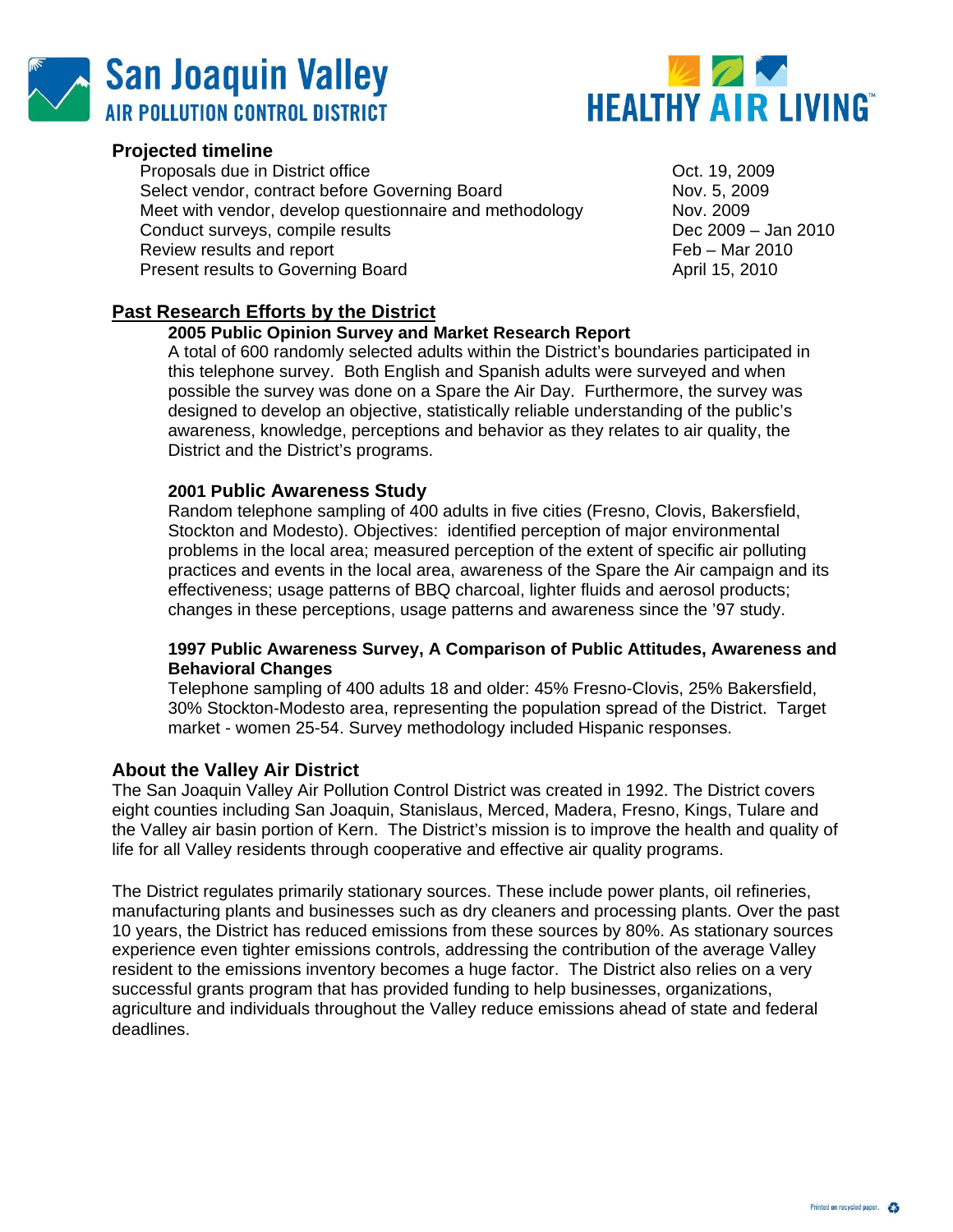



## **Projected timeline**

Proposals due in District office **Containers** 2009 Oct. 19, 2009 Select vendor, contract before Governing Board Nov. 5, 2009 Meet with vendor, develop questionnaire and methodology Nov. 2009 Conduct surveys, compile results Dec 2009 – Jan 2010 Review results and report **Feb – Mar 2010** Present results to Governing Board **April 15, 2010 April 15**, 2010

# **Past Research Efforts by the District**

## **2005 Public Opinion Survey and Market Research Report**

A total of 600 randomly selected adults within the District's boundaries participated in this telephone survey. Both English and Spanish adults were surveyed and when possible the survey was done on a Spare the Air Day. Furthermore, the survey was designed to develop an objective, statistically reliable understanding of the public's awareness, knowledge, perceptions and behavior as they relates to air quality, the District and the District's programs.

## **2001 Public Awareness Study**

Random telephone sampling of 400 adults in five cities (Fresno, Clovis, Bakersfield, Stockton and Modesto). Objectives: identified perception of major environmental problems in the local area; measured perception of the extent of specific air polluting practices and events in the local area, awareness of the Spare the Air campaign and its effectiveness; usage patterns of BBQ charcoal, lighter fluids and aerosol products; changes in these perceptions, usage patterns and awareness since the '97 study.

#### **1997 Public Awareness Survey, A Comparison of Public Attitudes, Awareness and Behavioral Changes**

Telephone sampling of 400 adults 18 and older: 45% Fresno-Clovis, 25% Bakersfield, 30% Stockton-Modesto area, representing the population spread of the District. Target market - women 25-54. Survey methodology included Hispanic responses.

## **About the Valley Air District**

The San Joaquin Valley Air Pollution Control District was created in 1992. The District covers eight counties including San Joaquin, Stanislaus, Merced, Madera, Fresno, Kings, Tulare and the Valley air basin portion of Kern. The District's mission is to improve the health and quality of life for all Valley residents through cooperative and effective air quality programs.

The District regulates primarily stationary sources. These include power plants, oil refineries, manufacturing plants and businesses such as dry cleaners and processing plants. Over the past 10 years, the District has reduced emissions from these sources by 80%. As stationary sources experience even tighter emissions controls, addressing the contribution of the average Valley resident to the emissions inventory becomes a huge factor. The District also relies on a very successful grants program that has provided funding to help businesses, organizations, agriculture and individuals throughout the Valley reduce emissions ahead of state and federal deadlines.